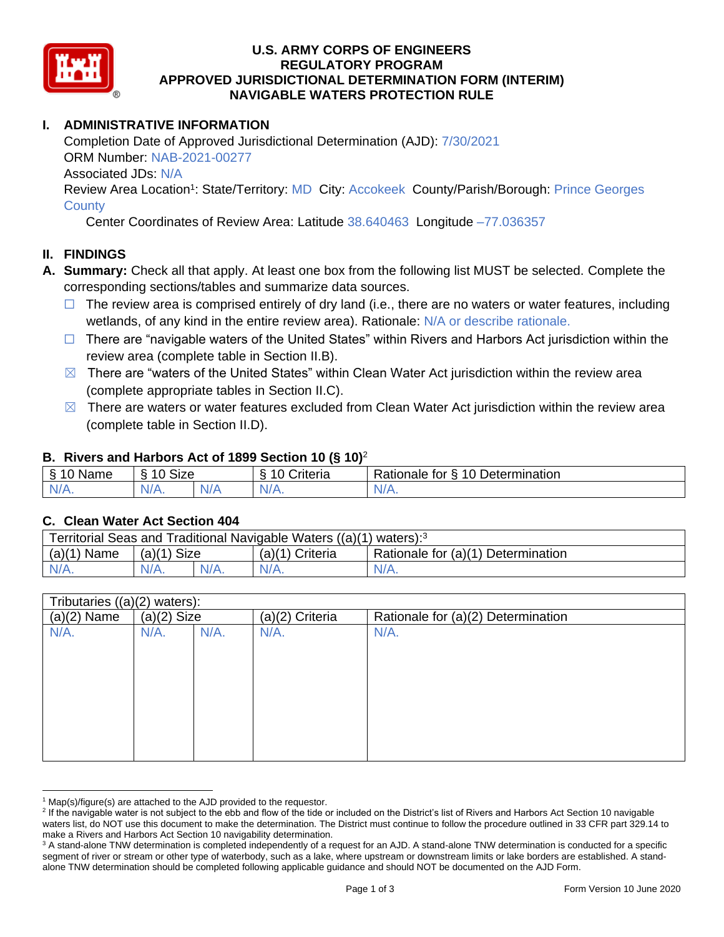

## **U.S. ARMY CORPS OF ENGINEERS REGULATORY PROGRAM APPROVED JURISDICTIONAL DETERMINATION FORM (INTERIM) NAVIGABLE WATERS PROTECTION RULE**

# **I. ADMINISTRATIVE INFORMATION**

Completion Date of Approved Jurisdictional Determination (AJD): 7/30/2021 ORM Number: NAB-2021-00277 Associated JDs: N/A Review Area Location<sup>1</sup>: State/Territory: MD City: Accokeek County/Parish/Borough: Prince Georges

**County** 

Center Coordinates of Review Area: Latitude 38.640463 Longitude –77.036357

# **II. FINDINGS**

- **A. Summary:** Check all that apply. At least one box from the following list MUST be selected. Complete the corresponding sections/tables and summarize data sources.
	- $\Box$  The review area is comprised entirely of dry land (i.e., there are no waters or water features, including wetlands, of any kind in the entire review area). Rationale: N/A or describe rationale.
	- $\Box$  There are "navigable waters of the United States" within Rivers and Harbors Act jurisdiction within the review area (complete table in Section II.B).
	- $\boxtimes$  There are "waters of the United States" within Clean Water Act jurisdiction within the review area (complete appropriate tables in Section II.C).
	- $\boxtimes$  There are waters or water features excluded from Clean Water Act jurisdiction within the review area (complete table in Section II.D).

### **B. Rivers and Harbors Act of 1899 Section 10 (§ 10)**<sup>2</sup>

| Name             | $\sim$<br>$\overline{A}$<br>Size |          | $\cdot$<br>Criteria | 10 Determination<br>Rationale.<br>tor<br>∼ |
|------------------|----------------------------------|----------|---------------------|--------------------------------------------|
| NI/<br>$-1$ $-1$ | N/A.                             | ND.<br>. | N/f                 | N/A.                                       |

### **C. Clean Water Act Section 404**

| Territorial Seas and Traditional Navigable Waters ((a)(1) waters): <sup>3</sup> |               |         |                   |                                    |  |
|---------------------------------------------------------------------------------|---------------|---------|-------------------|------------------------------------|--|
| $(a)(1)$ Name                                                                   | $(a)(1)$ Size |         | $(a)(1)$ Criteria | Rationale for (a)(1) Determination |  |
| $N/A$ .                                                                         | $N/A$ .       | $N/A$ . | $N/A$ .           | $N/A$ .                            |  |

| Tributaries $((a)(2)$ waters): |               |         |                 |                                    |
|--------------------------------|---------------|---------|-----------------|------------------------------------|
| $(a)(2)$ Name                  | $(a)(2)$ Size |         | (a)(2) Criteria | Rationale for (a)(2) Determination |
| N/A.                           | $N/A$ .       | $N/A$ . | $N/A$ .         | $N/A$ .                            |
|                                |               |         |                 |                                    |
|                                |               |         |                 |                                    |
|                                |               |         |                 |                                    |
|                                |               |         |                 |                                    |
|                                |               |         |                 |                                    |
|                                |               |         |                 |                                    |
|                                |               |         |                 |                                    |
|                                |               |         |                 |                                    |
|                                |               |         |                 |                                    |

 $1$  Map(s)/figure(s) are attached to the AJD provided to the requestor.

<sup>&</sup>lt;sup>2</sup> If the navigable water is not subject to the ebb and flow of the tide or included on the District's list of Rivers and Harbors Act Section 10 navigable waters list, do NOT use this document to make the determination. The District must continue to follow the procedure outlined in 33 CFR part 329.14 to make a Rivers and Harbors Act Section 10 navigability determination.

<sup>&</sup>lt;sup>3</sup> A stand-alone TNW determination is completed independently of a request for an AJD. A stand-alone TNW determination is conducted for a specific segment of river or stream or other type of waterbody, such as a lake, where upstream or downstream limits or lake borders are established. A standalone TNW determination should be completed following applicable guidance and should NOT be documented on the AJD Form.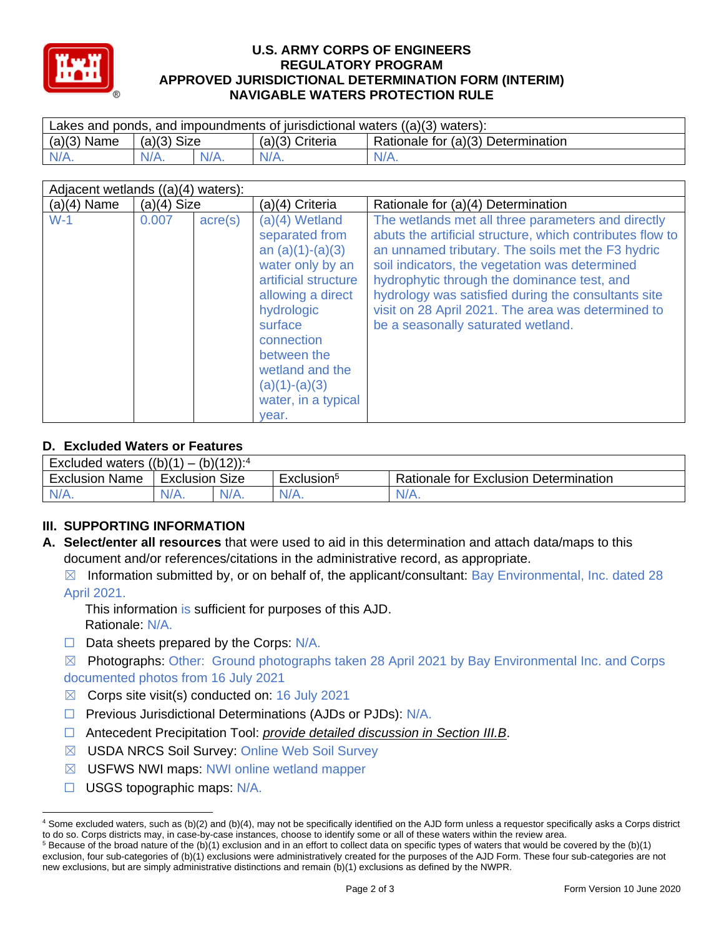

### **U.S. ARMY CORPS OF ENGINEERS REGULATORY PROGRAM APPROVED JURISDICTIONAL DETERMINATION FORM (INTERIM) NAVIGABLE WATERS PROTECTION RULE**

| Lakes and ponds, and impoundments of jurisdictional waters $((a)(3)$ waters): |               |  |                   |                                    |  |
|-------------------------------------------------------------------------------|---------------|--|-------------------|------------------------------------|--|
| $(a)(3)$ Name                                                                 | $(a)(3)$ Size |  | $(a)(3)$ Criteria | Rationale for (a)(3) Determination |  |
| $N/A$ .                                                                       | $N/A$ .       |  | $N/A$ .           | $N/A$ .                            |  |

| Adjacent wetlands ((a)(4) waters): |               |                  |                                                                                                                                                                                                                                                       |                                                                                                                                                                                                                                                                                                                                                                                                                          |  |
|------------------------------------|---------------|------------------|-------------------------------------------------------------------------------------------------------------------------------------------------------------------------------------------------------------------------------------------------------|--------------------------------------------------------------------------------------------------------------------------------------------------------------------------------------------------------------------------------------------------------------------------------------------------------------------------------------------------------------------------------------------------------------------------|--|
| $(a)(4)$ Name                      | $(a)(4)$ Size |                  | (a)(4) Criteria                                                                                                                                                                                                                                       | Rationale for (a)(4) Determination                                                                                                                                                                                                                                                                                                                                                                                       |  |
| $W-1$                              | 0.007         | $\text{acre}(s)$ | $(a)(4)$ Wetland<br>separated from<br>an $(a)(1)-(a)(3)$<br>water only by an<br>artificial structure<br>allowing a direct<br>hydrologic<br>surface<br>connection<br>between the<br>wetland and the<br>$(a)(1)-(a)(3)$<br>water, in a typical<br>vear. | The wetlands met all three parameters and directly<br>abuts the artificial structure, which contributes flow to<br>an unnamed tributary. The soils met the F3 hydric<br>soil indicators, the vegetation was determined<br>hydrophytic through the dominance test, and<br>hydrology was satisfied during the consultants site<br>visit on 28 April 2021. The area was determined to<br>be a seasonally saturated wetland. |  |

# **D. Excluded Waters or Features**

| -<br>$(b)(12))$ : <sup>4</sup><br>((b)(1)<br>Excluded<br>waters |                   |      |                        |                                                 |  |
|-----------------------------------------------------------------|-------------------|------|------------------------|-------------------------------------------------|--|
| Exclusion<br>Name                                               | Size<br>Exclusion |      | Exclusion <sup>3</sup> | <b>Rationale for Exclusion</b><br>Determination |  |
| N/A.                                                            | $N/A$ .           | N/A. | $N/A$ .                | 'N/H.                                           |  |

# **III. SUPPORTING INFORMATION**

- **A. Select/enter all resources** that were used to aid in this determination and attach data/maps to this document and/or references/citations in the administrative record, as appropriate.
	- $\boxtimes$  Information submitted by, or on behalf of, the applicant/consultant: Bay Environmental, Inc. dated 28 April 2021.

This information is sufficient for purposes of this AJD. Rationale: N/A.

☐ Data sheets prepared by the Corps: N/A.

 $\boxtimes$  Photographs: Other: Ground photographs taken 28 April 2021 by Bay Environmental Inc. and Corps documented photos from 16 July 2021

- $\boxtimes$  Corps site visit(s) conducted on: 16 July 2021
- ☐ Previous Jurisdictional Determinations (AJDs or PJDs): N/A.
- ☐ Antecedent Precipitation Tool: *provide detailed discussion in Section III.B*.
- ☒ USDA NRCS Soil Survey: Online Web Soil Survey
- **⊠** USFWS NWI maps: NWI online wetland mapper
- ☐ USGS topographic maps: N/A.

<sup>4</sup> Some excluded waters, such as (b)(2) and (b)(4), may not be specifically identified on the AJD form unless a requestor specifically asks a Corps district to do so. Corps districts may, in case-by-case instances, choose to identify some or all of these waters within the review area.  $5$  Because of the broad nature of the (b)(1) exclusion and in an effort to collect data on specific types of waters that would be covered by the (b)(1)

exclusion, four sub-categories of (b)(1) exclusions were administratively created for the purposes of the AJD Form. These four sub-categories are not new exclusions, but are simply administrative distinctions and remain (b)(1) exclusions as defined by the NWPR.